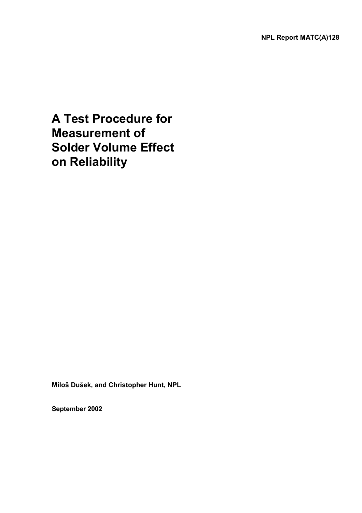# **A Test Procedure for Measurement of Solder Volume Effect on Reliability**

**Miloš Dušek, and Christopher Hunt, NPL** 

**September 2002**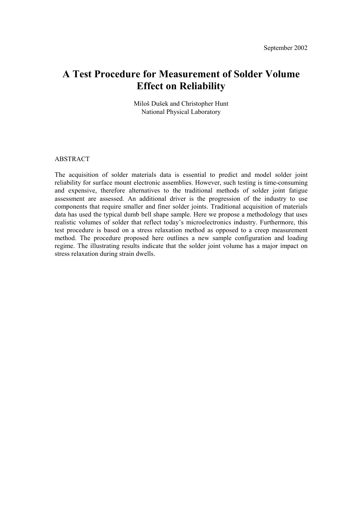## **A Test Procedure for Measurement of Solder Volume Effect on Reliability**

Miloš Dušek and Christopher Hunt National Physical Laboratory

#### ABSTRACT

The acquisition of solder materials data is essential to predict and model solder joint reliability for surface mount electronic assemblies. However, such testing is time-consuming and expensive, therefore alternatives to the traditional methods of solder joint fatigue assessment are assessed. An additional driver is the progression of the industry to use components that require smaller and finer solder joints. Traditional acquisition of materials data has used the typical dumb bell shape sample. Here we propose a methodology that uses realistic volumes of solder that reflect today's microelectronics industry. Furthermore, this test procedure is based on a stress relaxation method as opposed to a creep measurement method. The procedure proposed here outlines a new sample configuration and loading regime. The illustrating results indicate that the solder joint volume has a major impact on stress relaxation during strain dwells.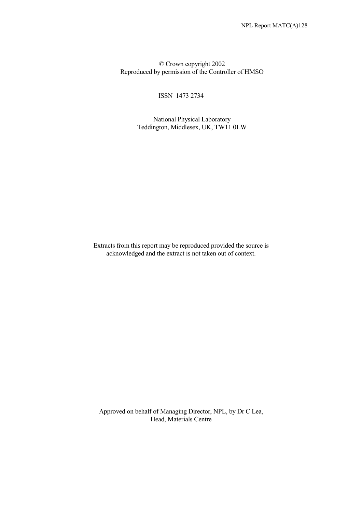© Crown copyright 2002 Reproduced by permission of the Controller of HMSO

ISSN 1473 2734

 National Physical Laboratory Teddington, Middlesex, UK, TW11 0LW

Extracts from this report may be reproduced provided the source is acknowledged and the extract is not taken out of context.

Approved on behalf of Managing Director, NPL, by Dr C Lea, Head, Materials Centre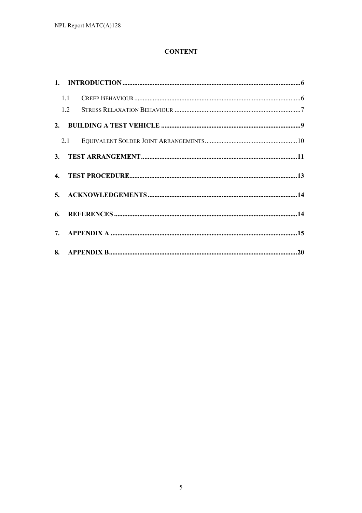## **CONTENT**

| 1.1 |     |  |
|-----|-----|--|
|     |     |  |
|     |     |  |
|     | 2.1 |  |
|     |     |  |
|     |     |  |
|     |     |  |
|     |     |  |
|     |     |  |
|     |     |  |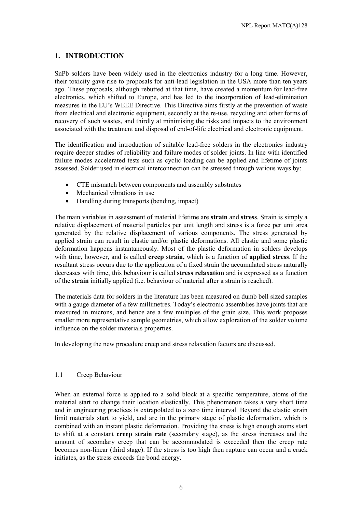### **1. INTRODUCTION**

SnPb solders have been widely used in the electronics industry for a long time. However, their toxicity gave rise to proposals for anti-lead legislation in the USA more than ten years ago. These proposals, although rebutted at that time, have created a momentum for lead-free electronics, which shifted to Europe, and has led to the incorporation of lead-elimination measures in the EU's WEEE Directive. This Directive aims firstly at the prevention of waste from electrical and electronic equipment, secondly at the re-use, recycling and other forms of recovery of such wastes, and thirdly at minimising the risks and impacts to the environment associated with the treatment and disposal of end-of-life electrical and electronic equipment.

The identification and introduction of suitable lead-free solders in the electronics industry require deeper studies of reliability and failure modes of solder joints. In line with identified failure modes accelerated tests such as cyclic loading can be applied and lifetime of joints assessed. Solder used in electrical interconnection can be stressed through various ways by:

- CTE mismatch between components and assembly substrates
- Mechanical vibrations in use
- $\bullet$ Handling during transports (bending, impact)

The main variables in assessment of material lifetime are **strain** and **stress**. Strain is simply a relative displacement of material particles per unit length and stress is a force per unit area generated by the relative displacement of various components. The stress generated by applied strain can result in elastic and/or plastic deformations. All elastic and some plastic deformation happens instantaneously. Most of the plastic deformation in solders develops with time, however, and is called **creep strain,** which is a function of **applied stress**. If the resultant stress occurs due to the application of a fixed strain the accumulated stress naturally decreases with time, this behaviour is called **stress relaxation** and is expressed as a function of the **strain** initially applied (i.e. behaviour of material after a strain is reached).

The materials data for solders in the literature has been measured on dumb bell sized samples with a gauge diameter of a few millimetres. Today's electronic assemblies have joints that are measured in microns, and hence are a few multiples of the grain size. This work proposes smaller more representative sample geometries, which allow exploration of the solder volume influence on the solder materials properties.

In developing the new procedure creep and stress relaxation factors are discussed.

#### 1.1 Creep Behaviour

When an external force is applied to a solid block at a specific temperature, atoms of the material start to change their location elastically. This phenomenon takes a very short time and in engineering practices is extrapolated to a zero time interval. Beyond the elastic strain limit materials start to yield, and are in the primary stage of plastic deformation, which is combined with an instant plastic deformation. Providing the stress is high enough atoms start to shift at a constant **creep strain rate** (secondary stage), as the stress increases and the amount of secondary creep that can be accommodated is exceeded then the creep rate becomes non-linear (third stage). If the stress is too high then rupture can occur and a crack initiates, as the stress exceeds the bond energy.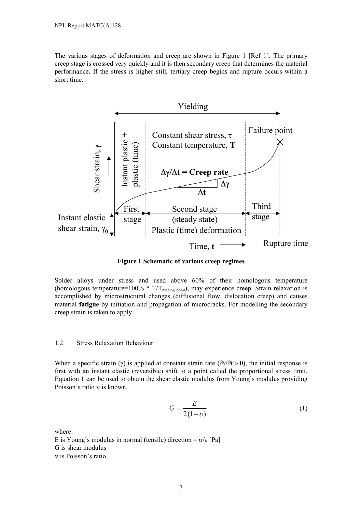The various stages of deformation and creep are shown in Figure 1 [Ref 1]. The primary creep stage is crossed very quickly and it is then secondary creep that determines the material performance. If the stress is higher still, tertiary creep begins and rupture occurs within a short time.



**Figure 1 Schematic of various creep regimes** 

Solder alloys under stress and used above 60% of their homologous temperature (homologous temperature=100%  $*$  T/T<sub>melting point</sub>), may experience creep. Strain relaxation is accomplished by microstructural changes (diffusional flow, dislocation creep) and causes material **fatigue** by initiation and propagation of microcracks. For modelling the secondary creep strain is taken to apply.

#### 1.2 Stress Relaxation Behaviour

When a specific strain ( $\gamma$ ) is applied at constant strain rate ( $\partial \gamma / \partial t > 0$ ), the initial response is first with an instant elastic (reversible) shift to a point called the proportional stress limit. Equation 1 can be used to obtain the shear elastic modulus from Young's modulus providing Poisson's ratio v is known.

$$
G = \frac{E}{2(1+\nu)}\tag{1}
$$

where:

E is Young's modulus in normal (tensile) direction =  $\sigma$ / $\epsilon$  [Pa] G is shear modulus v is Poisson's ratio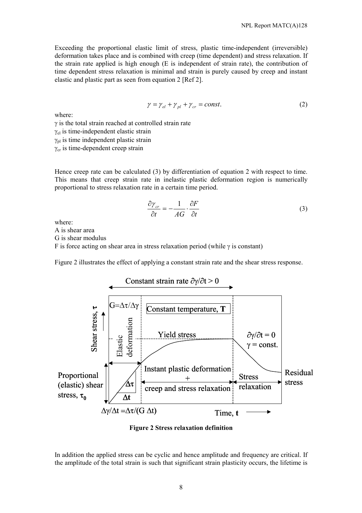Exceeding the proportional elastic limit of stress, plastic time-independent (irreversible) deformation takes place and is combined with creep (time dependent) and stress relaxation. If the strain rate applied is high enough (E is independent of strain rate), the contribution of time dependent stress relaxation is minimal and strain is purely caused by creep and instant elastic and plastic part as seen from equation 2 [Ref 2].

$$
\gamma = \gamma_{el} + \gamma_{pl} + \gamma_{cr} = const.
$$
 (2)

where:

 $\gamma$  is the total strain reached at controlled strain rate

 $\gamma_{el}$  is time-independent elastic strain

 $\gamma_{\text{pl}}$  is time independent plastic strain

 $\gamma_{cr}$  is time-dependent creep strain

Hence creep rate can be calculated (3) by differentiation of equation 2 with respect to time. This means that creep strain rate in inelastic plastic deformation region is numerically proportional to stress relaxation rate in a certain time period.

$$
\frac{\partial \gamma_{cr}}{\partial t} = -\frac{1}{AG} \cdot \frac{\partial F}{\partial t}
$$
 (3)

where:

A is shear area

G is shear modulus

F is force acting on shear area in stress relaxation period (while  $\gamma$  is constant)

Figure 2 illustrates the effect of applying a constant strain rate and the shear stress response.



**Figure 2 Stress relaxation definition** 

In addition the applied stress can be cyclic and hence amplitude and frequency are critical. If the amplitude of the total strain is such that significant strain plasticity occurs, the lifetime is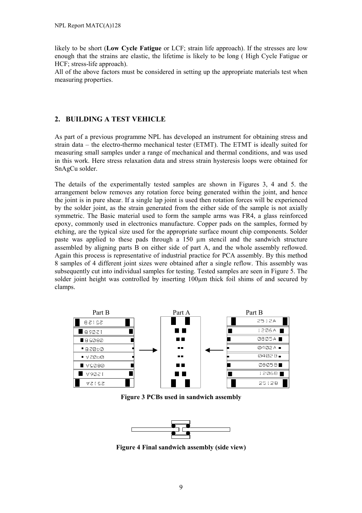likely to be short (**Low Cycle Fatigue** or LCF; strain life approach). If the stresses are low enough that the strains are elastic, the lifetime is likely to be long ( High Cycle Fatigue or HCF; stress-life approach).

All of the above factors must be considered in setting up the appropriate materials test when measuring properties.

## **2. BUILDING A TEST VEHICLE**

As part of a previous programme NPL has developed an instrument for obtaining stress and strain data – the electro-thermo mechanical tester (ETMT). The ETMT is ideally suited for measuring small samples under a range of mechanical and thermal conditions, and was used in this work. Here stress relaxation data and stress strain hysteresis loops were obtained for SnAgCu solder.

The details of the experimentally tested samples are shown in Figures 3, 4 and 5. the arrangement below removes any rotation force being generated within the joint, and hence the joint is in pure shear. If a single lap joint is used then rotation forces will be experienced by the solder joint, as the strain generated from the either side of the sample is not axially symmetric. The Basic material used to form the sample arms was FR4, a glass reinforced epoxy, commonly used in electronics manufacture. Copper pads on the samples, formed by etching, are the typical size used for the appropriate surface mount chip components. Solder paste was applied to these pads through a 150 µm stencil and the sandwich structure assembled by aligning parts B on either side of part A, and the whole assembly reflowed. Again this process is representative of industrial practice for PCA assembly. By this method 8 samples of 4 different joint sizes were obtained after a single reflow. This assembly was subsequently cut into individual samples for testing. Tested samples are seen in Figure 5. The solder joint height was controlled by inserting 100µm thick foil shims of and secured by clamps.



**Figure 3 PCBs used in sandwich assembly** 



**Figure 4 Final sandwich assembly (side view)**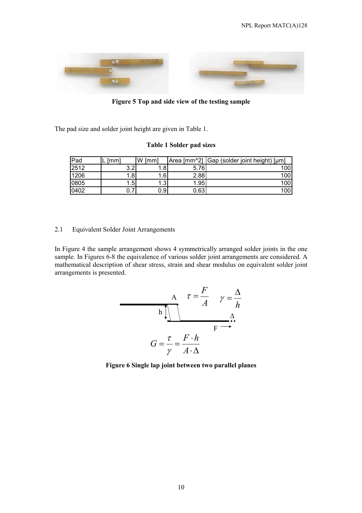

**Figure 5 Top and side view of the testing sample** 

The pad size and solder joint height are given in Table 1.

#### **Table 1 Solder pad sizes**

| Pad  | [mm]      | W [mm] |      | Area [mm^2] Gap (solder joint height) [µm] |
|------|-----------|--------|------|--------------------------------------------|
| 2512 | っっ<br>ے.د |        | 5.76 | 100                                        |
| 1206 | .81       | . 61   | 2.88 | 100                                        |
| 0805 | 1.5       | ا ب ا  | 1.95 | 100                                        |
| 0402 | ◡.≀       | 0.91   | 0.63 | 100                                        |

#### 2.1 Equivalent Solder Joint Arrangements

In Figure 4 the sample arrangement shows 4 symmetrically arranged solder joints in the one sample. In Figures 6-8 the equivalence of various solder joint arrangements are considered. A mathematical description of shear stress, strain and shear modulus on equivalent solder joint arrangements is presented.



**Figure 6 Single lap joint between two parallel planes**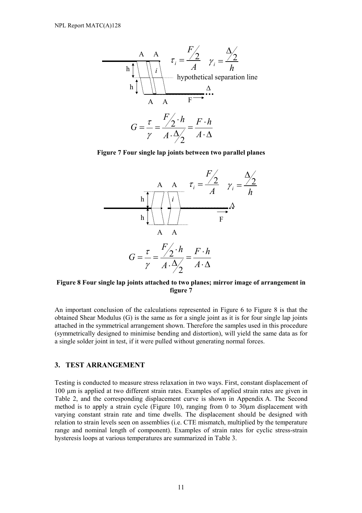

**Figure 7 Four single lap joints between two parallel planes** 



#### **Figure 8 Four single lap joints attached to two planes; mirror image of arrangement in figure 7**

An important conclusion of the calculations represented in Figure 6 to Figure 8 is that the obtained Shear Modulus (G) is the same as for a single joint as it is for four single lap joints attached in the symmetrical arrangement shown. Therefore the samples used in this procedure (symmetrically designed to minimise bending and distortion), will yield the same data as for a single solder joint in test, if it were pulled without generating normal forces.

## **3. TEST ARRANGEMENT**

Testing is conducted to measure stress relaxation in two ways. First, constant displacement of 100 µm is applied at two different strain rates. Examples of applied strain rates are given in Table 2, and the corresponding displacement curve is shown in Appendix A. The Second method is to apply a strain cycle (Figure 10), ranging from 0 to 30µm displacement with varying constant strain rate and time dwells. The displacement should be designed with relation to strain levels seen on assemblies (i.e. CTE mismatch, multiplied by the temperature range and nominal length of component). Examples of strain rates for cyclic stress-strain hysteresis loops at various temperatures are summarized in Table 3.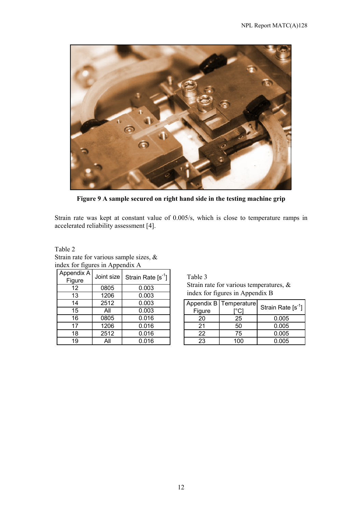

**Figure 9 A sample secured on right hand side in the testing machine grip** 

Strain rate was kept at constant value of 0.005/s, which is close to temperature ramps in accelerated reliability assessment [4].

Table 2 Strain rate for various sample sizes, & index for figures in Appendix A

| Appendix A<br>Figure | Joint size | Strain Rate $[s^{-1}]$ |
|----------------------|------------|------------------------|
| 12                   | 0805       | 0.003                  |
| 13                   | 1206       | 0.003                  |
| 14                   | 2512       | 0.003                  |
| 15                   | All        | 0.003                  |
| 16                   | 0805       | 0.016                  |
| 17                   | 1206       | 0.016                  |
| 18                   | 2512       | 0.016                  |
| 19                   | All        | 0.016                  |

Table 3 Strain rate for various temperatures, & index for figures in Appendix B

|        | Appendix B   Temperature | Strain Rate $[s^{-1}]$ |
|--------|--------------------------|------------------------|
| Figure | C                        |                        |
| 20     | 25                       | 0.005                  |
| 21     | 50                       | 0.005                  |
| 22     | 75                       | 0.005                  |
| 23     | 100                      | 0.005                  |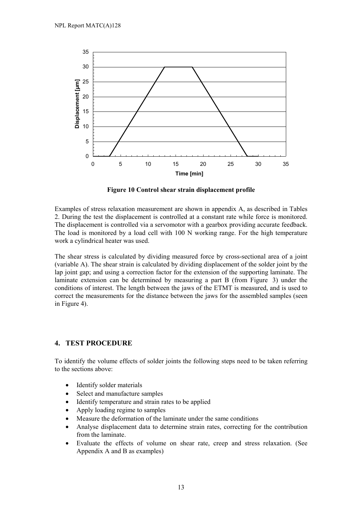

**Figure 10 Control shear strain displacement profile** 

Examples of stress relaxation measurement are shown in appendix A, as described in Tables 2. During the test the displacement is controlled at a constant rate while force is monitored. The displacement is controlled via a servomotor with a gearbox providing accurate feedback. The load is monitored by a load cell with 100 N working range. For the high temperature work a cylindrical heater was used.

The shear stress is calculated by dividing measured force by cross-sectional area of a joint (variable A). The shear strain is calculated by dividing displacement of the solder joint by the lap joint gap; and using a correction factor for the extension of the supporting laminate. The laminate extension can be determined by measuring a part B (from Figure 3) under the conditions of interest. The length between the jaws of the ETMT is measured, and is used to correct the measurements for the distance between the jaws for the assembled samples (seen in Figure 4).

## **4. TEST PROCEDURE**

To identify the volume effects of solder joints the following steps need to be taken referring to the sections above:

- -Identify solder materials
- $\bullet$ Select and manufacture samples
- $\bullet$ Identify temperature and strain rates to be applied
- $\bullet$ Apply loading regime to samples
- -Measure the deformation of the laminate under the same conditions
- $\bullet$  Analyse displacement data to determine strain rates, correcting for the contribution from the laminate.
- $\bullet$  Evaluate the effects of volume on shear rate, creep and stress relaxation. (See Appendix A and B as examples)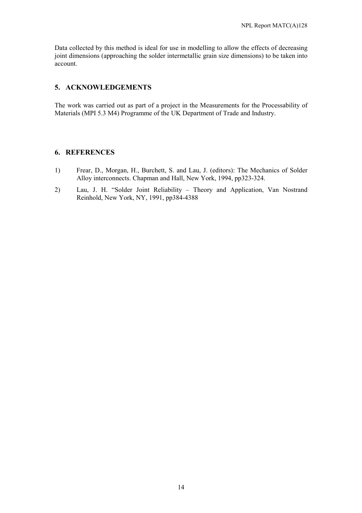Data collected by this method is ideal for use in modelling to allow the effects of decreasing joint dimensions (approaching the solder intermetallic grain size dimensions) to be taken into account.

#### **5. ACKNOWLEDGEMENTS**

The work was carried out as part of a project in the Measurements for the Processability of Materials (MPI 5.3 M4) Programme of the UK Department of Trade and Industry.

#### **6. REFERENCES**

- 1) Frear, D., Morgan, H., Burchett, S. and Lau, J. (editors): The Mechanics of Solder Alloy interconnects. Chapman and Hall, New York, 1994, pp323-324.
- 2) Lau, J. H. "Solder Joint Reliability Theory and Application, Van Nostrand Reinhold, New York, NY, 1991, pp384-4388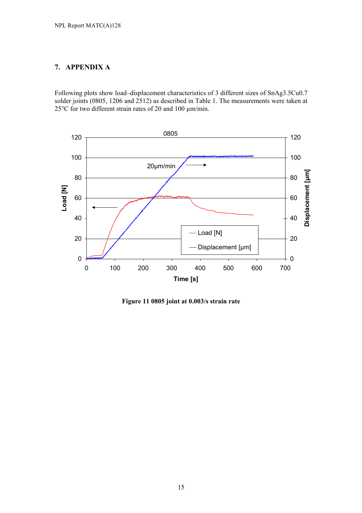## **7. APPENDIX A**

Following plots show load–displacement characteristics of 3 different sizes of SnAg3.5Cu0.7 solder joints (0805, 1206 and 2512) as described in Table 1. The measurements were taken at 25°C for two different strain rates of 20 and 100 µm/min.



**Figure 11 0805 joint at 0.003/s strain rate**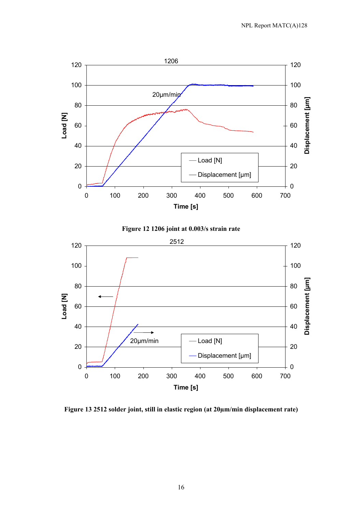





**Figure 13 2512 solder joint, still in elastic region (at 20µm/min displacement rate)**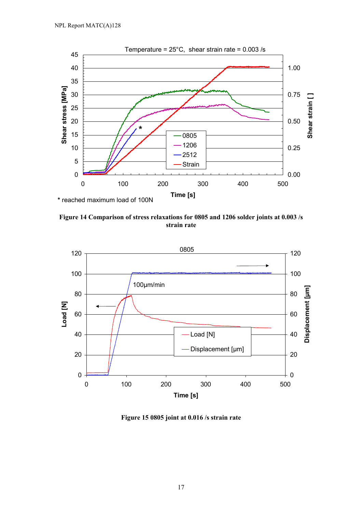

**Figure 14 Comparison of stress relaxations for 0805 and 1206 solder joints at 0.003 /s strain rate** 



**Figure 15 0805 joint at 0.016 /s strain rate**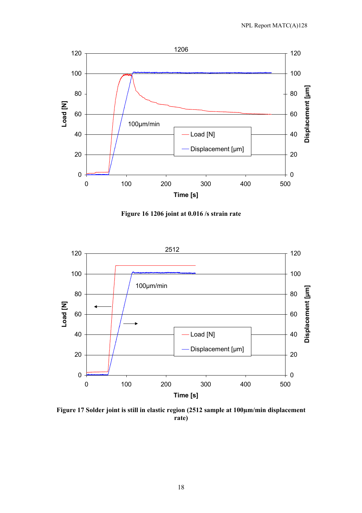

**Figure 16 1206 joint at 0.016 /s strain rate** 



**Figure 17 Solder joint is still in elastic region (2512 sample at 100µm/min displacement rate)**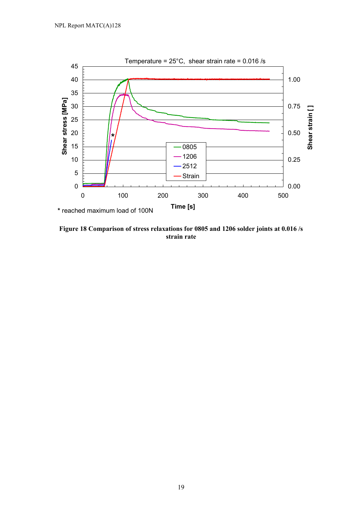

**Figure 18 Comparison of stress relaxations for 0805 and 1206 solder joints at 0.016 /s strain rate**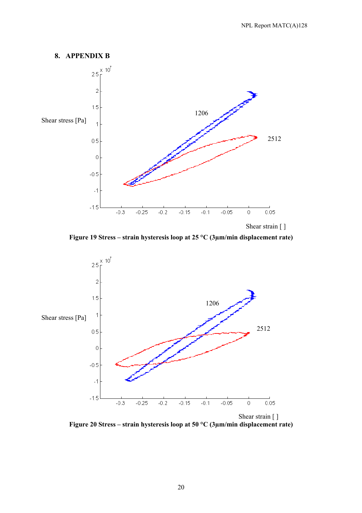

**Figure 19 Stress – strain hysteresis loop at 25 °C (3µm/min displacement rate)** 



**Figure 20 Stress – strain hysteresis loop at 50 °C (3µm/min displacement rate)**